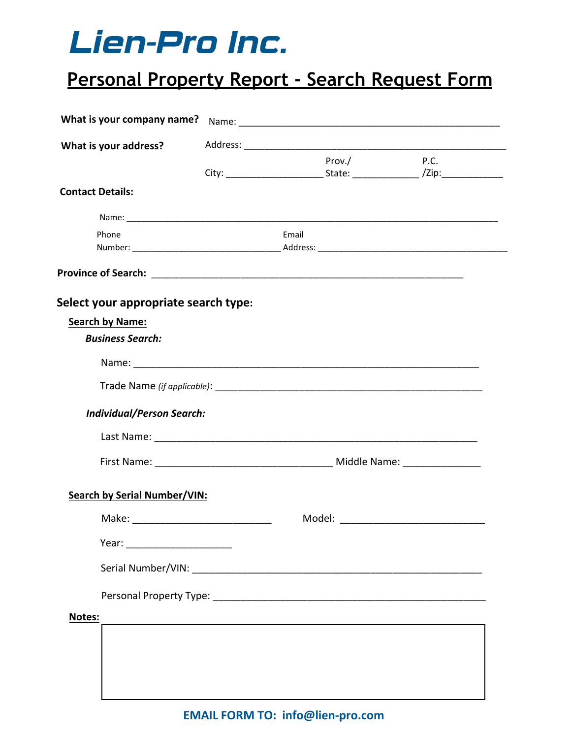## Lien-Pro Inc.

## **Personal Property Report - Search Request Form**

| What is your company name?           |       |        |             |
|--------------------------------------|-------|--------|-------------|
| What is your address?                |       |        |             |
|                                      |       | Prov./ | <b>P.C.</b> |
| <b>Contact Details:</b>              |       |        |             |
|                                      |       |        |             |
| Phone                                | Email |        |             |
|                                      |       |        |             |
| Select your appropriate search type: |       |        |             |
| <b>Search by Name:</b>               |       |        |             |
| <b>Business Search:</b>              |       |        |             |
|                                      |       |        |             |
|                                      |       |        |             |
| <b>Individual/Person Search:</b>     |       |        |             |
|                                      |       |        |             |
|                                      |       |        |             |
|                                      |       |        |             |
| <b>Search by Serial Number/VIN:</b>  |       |        |             |
|                                      |       |        |             |
| Year: ________________________       |       |        |             |
|                                      |       |        |             |
|                                      |       |        |             |